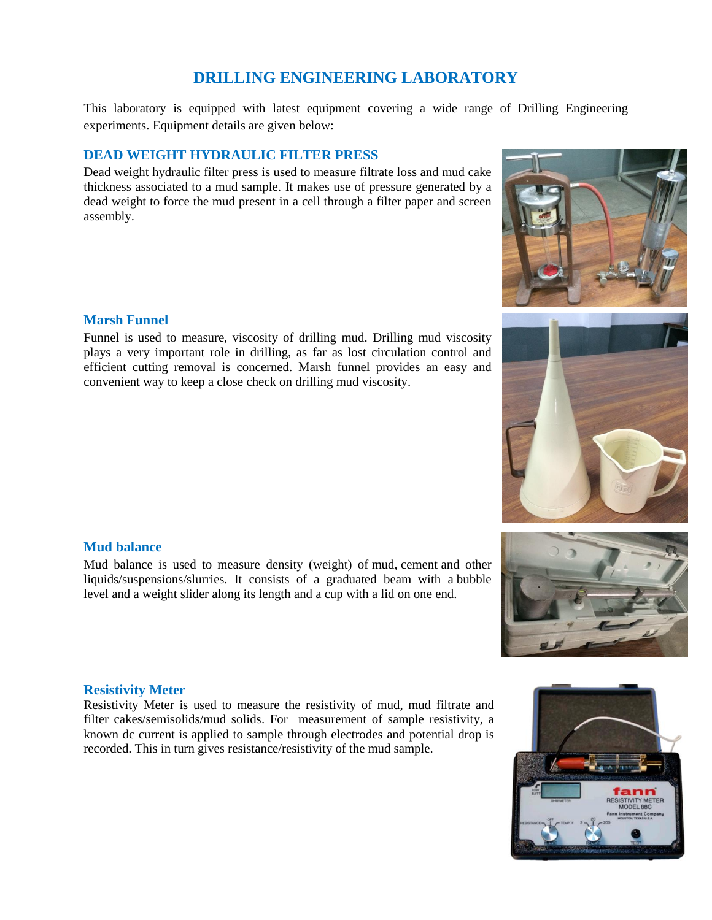# **DRILLING ENGINEERING LABORATORY**

This laboratory is equipped with latest equipment covering a wide range of Drilling Engineering experiments. Equipment details are given below:

## **DEAD WEIGHT HYDRAULIC FILTER PRESS**

Dead weight hydraulic filter press is used to measure filtrate loss and mud cake thickness associated to a mud sample. It makes use of pressure generated by a dead weight to force the mud present in a cell through a filter paper and screen assembly.

## **Marsh Funnel**

Funnel is used to measure, viscosity of drilling mud. Drilling mud viscosity plays a very important role in drilling, as far as lost circulation control and efficient cutting removal is concerned. Marsh funnel provides an easy and convenient way to keep a close check on drilling mud viscosity.

#### **Mud balance**

Mud balance is used to measure density (weight) of [mud,](http://www.glossary.oilfield.slb.com/en/Terms/m/mud.aspx) [cement](http://www.glossary.oilfield.slb.com/en/Terms/c/cement.aspx) and other liquids/suspensions/slurries. It consists of a graduated beam with a [bubble](https://en.wikipedia.org/wiki/Bubble_level)  [level](https://en.wikipedia.org/wiki/Bubble_level) and a weight slider along its length and a cup with a lid on one end.

#### **Resistivity Meter**

Resistivity Meter is used to measure the resistivity of mud, mud filtrate and filter cakes/semisolids/mud solids. For measurement of sample resistivity, a known dc current is applied to sample through electrodes and potential drop is recorded. This in turn gives resistance/resistivity of the mud sample.